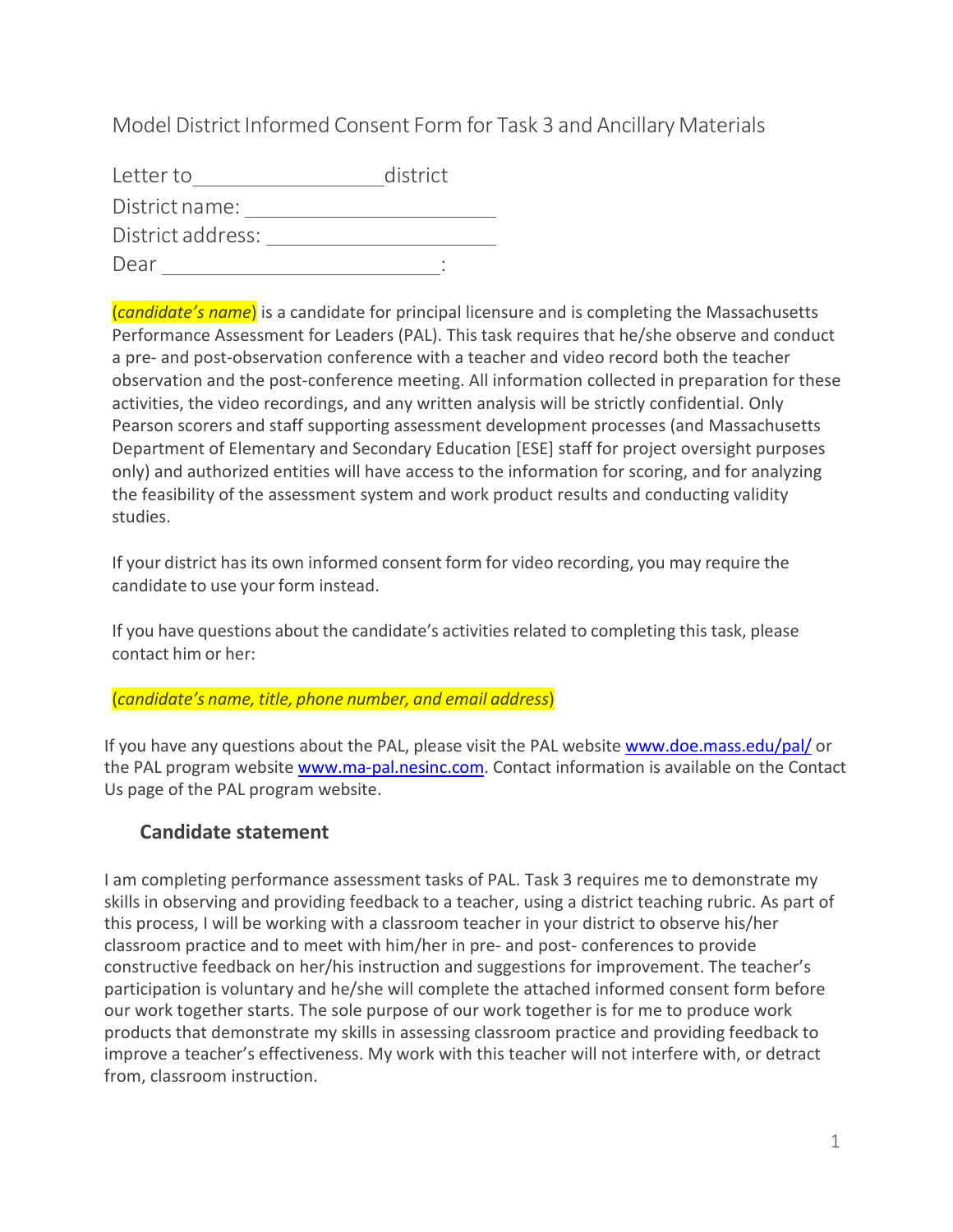Model District Informed Consent Form for Task 3 and Ancillary Materials

| Letter to         | district |
|-------------------|----------|
| District name:    |          |
| District address: |          |
| Dear              |          |

(*candidate's name*) is a candidate for principal licensure and is completing the Massachusetts Performance Assessment for Leaders (PAL). This task requires that he/she observe and conduct a pre- and post-observation conference with a teacher and video record both the teacher observation and the post-conference meeting. All information collected in preparation for these activities, the video recordings, and any written analysis will be strictly confidential. Only Pearson scorers and staff supporting assessment development processes (and Massachusetts Department of Elementary and Secondary Education [ESE] staff for project oversight purposes only) and authorized entities will have access to the information for scoring, and for analyzing the feasibility of the assessment system and work product results and conducting validity studies.

If your district has its own informed consent form for video recording, you may require the candidate to use your form instead.

If you have questions about the candidate's activities related to completing this task, please contact him or her:

(*candidate's name, title, phone number, and email address*)

If you have any questions about the PAL, please visit the PAL website [www.doe.mass.edu/pal/](http://www.doe.mass.edu/pal/) or the PAL program website [www.ma-pal.nesinc.com.](http://www.ma-pal.nesinc.com/) Contact information is available on the Contact Us page of the PAL program website.

# **Candidate statement**

I am completing performance assessment tasks of PAL. Task 3 requires me to demonstrate my skills in observing and providing feedback to a teacher, using a district teaching rubric. As part of this process, I will be working with a classroom teacher in your district to observe his/her classroom practice and to meet with him/her in pre- and post- conferences to provide constructive feedback on her/his instruction and suggestions for improvement. The teacher's participation is voluntary and he/she will complete the attached informed consent form before our work together starts. The sole purpose of our work together is for me to produce work products that demonstrate my skills in assessing classroom practice and providing feedback to improve a teacher's effectiveness. My work with this teacher will not interfere with, or detract from, classroom instruction.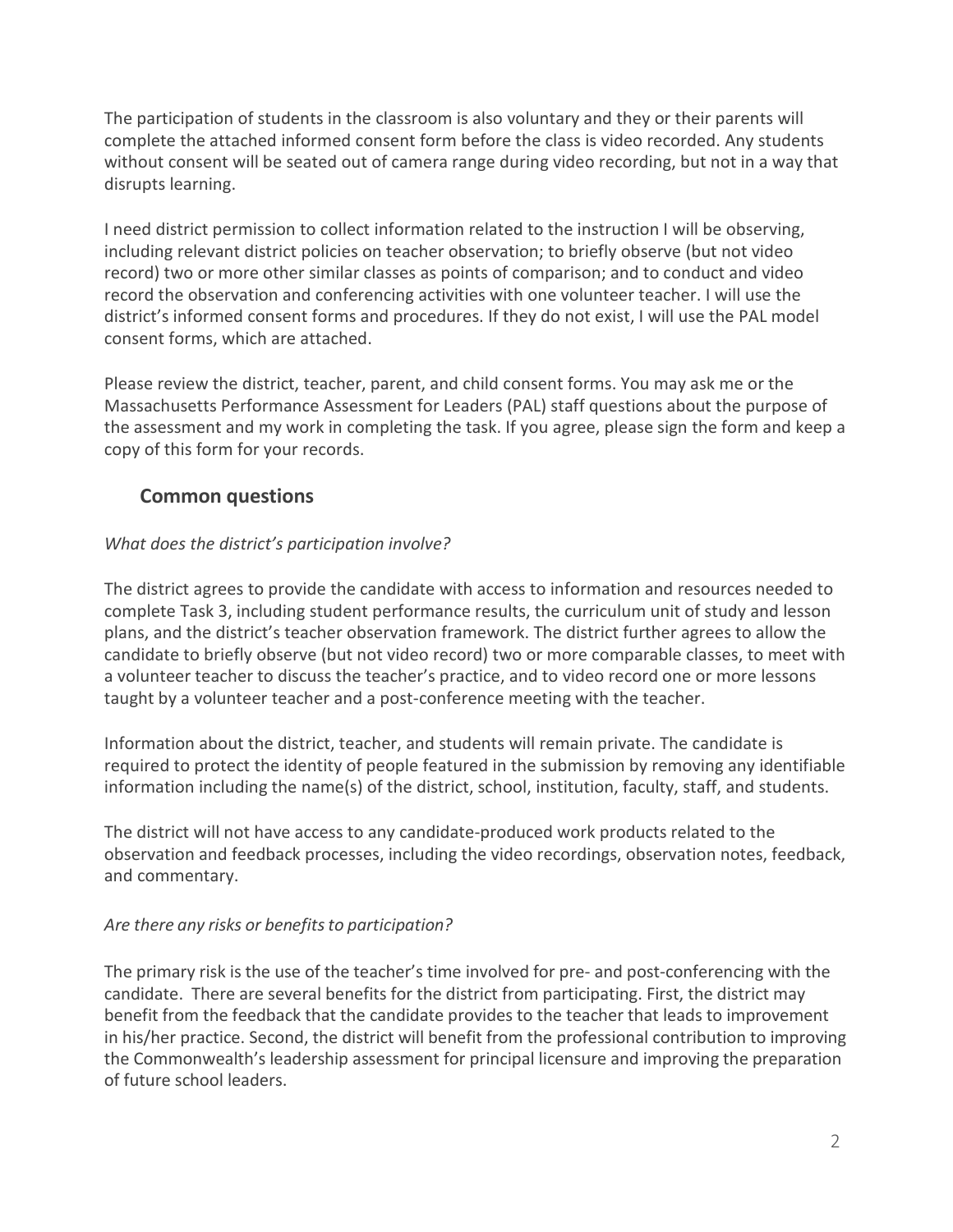The participation of students in the classroom is also voluntary and they or their parents will complete the attached informed consent form before the class is video recorded. Any students without consent will be seated out of camera range during video recording, but not in a way that disrupts learning.

I need district permission to collect information related to the instruction I will be observing, including relevant district policies on teacher observation; to briefly observe (but not video record) two or more other similar classes as points of comparison; and to conduct and video record the observation and conferencing activities with one volunteer teacher. I will use the district's informed consent forms and procedures. If they do not exist, I will use the PAL model consent forms, which are attached.

Please review the district, teacher, parent, and child consent forms. You may ask me or the Massachusetts Performance Assessment for Leaders (PAL) staff questions about the purpose of the assessment and my work in completing the task. If you agree, please sign the form and keep a copy of this form for your records.

# **Common questions**

#### *What does the district's participation involve?*

The district agrees to provide the candidate with access to information and resources needed to complete Task 3, including student performance results, the curriculum unit of study and lesson plans, and the district's teacher observation framework. The district further agrees to allow the candidate to briefly observe (but not video record) two or more comparable classes, to meet with a volunteer teacher to discuss the teacher's practice, and to video record one or more lessons taught by a volunteer teacher and a post-conference meeting with the teacher.

Information about the district, teacher, and students will remain private. The candidate is required to protect the identity of people featured in the submission by removing any identifiable information including the name(s) of the district, school, institution, faculty, staff, and students.

The district will not have access to any candidate-produced work products related to the observation and feedback processes, including the video recordings, observation notes, feedback, and commentary.

#### *Are there any risks or benefitsto participation?*

The primary risk is the use of the teacher's time involved for pre- and post-conferencing with the candidate. There are several benefits for the district from participating. First, the district may benefit from the feedback that the candidate provides to the teacher that leads to improvement in his/her practice. Second, the district will benefit from the professional contribution to improving the Commonwealth's leadership assessment for principal licensure and improving the preparation of future school leaders.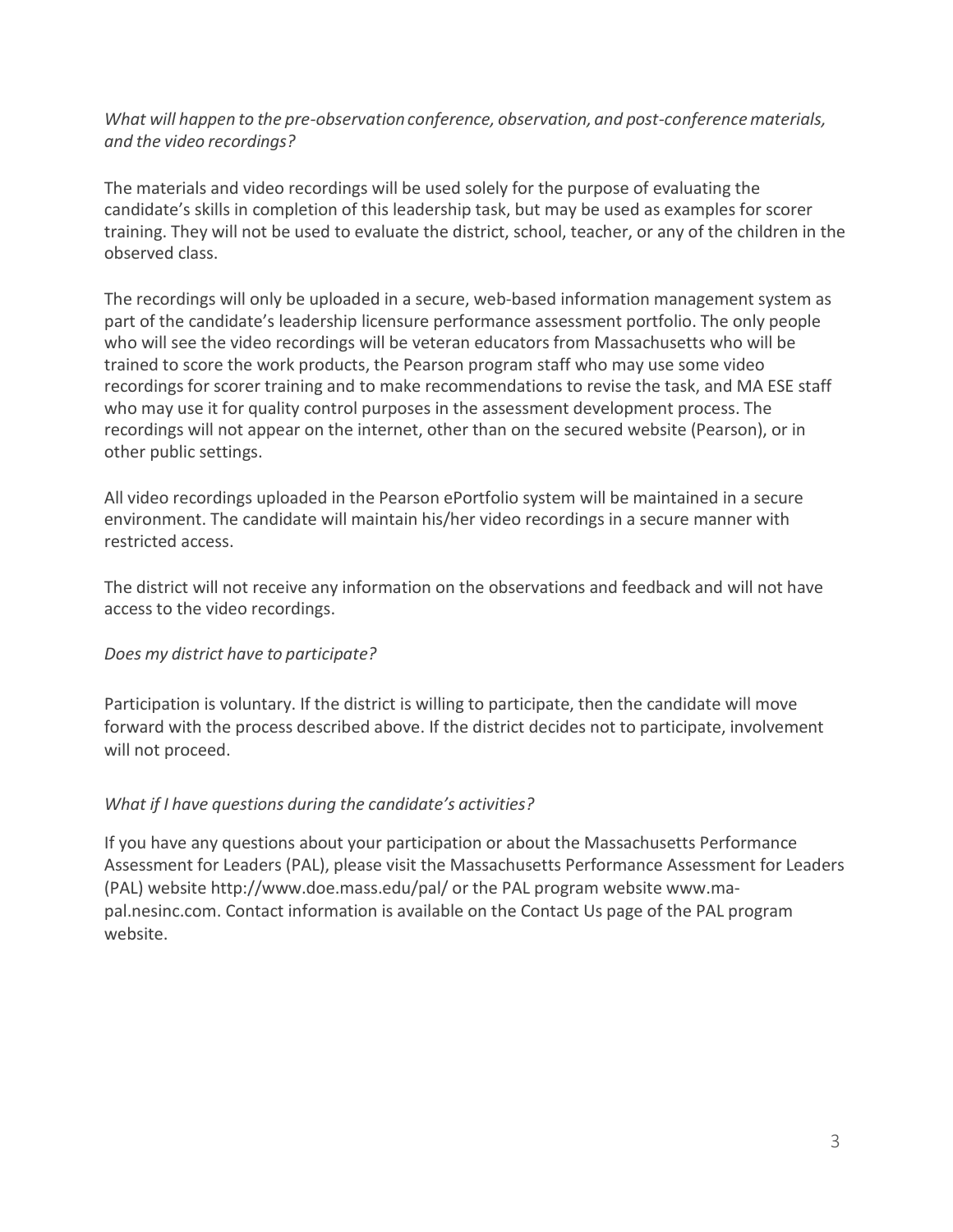*What will happen to the pre-observationconference, observation, and post-conferencematerials, and the video recordings?*

The materials and video recordings will be used solely for the purpose of evaluating the candidate's skills in completion of this leadership task, but may be used as examples for scorer training. They will not be used to evaluate the district, school, teacher, or any of the children in the observed class.

The recordings will only be uploaded in a secure, web-based information management system as part of the candidate's leadership licensure performance assessment portfolio. The only people who will see the video recordings will be veteran educators from Massachusetts who will be trained to score the work products, the Pearson program staff who may use some video recordings for scorer training and to make recommendations to revise the task, and MA ESE staff who may use it for quality control purposes in the assessment development process. The recordings will not appear on the internet, other than on the secured website (Pearson), or in other public settings.

All video recordings uploaded in the Pearson ePortfolio system will be maintained in a secure environment. The candidate will maintain his/her video recordings in a secure manner with restricted access.

The district will not receive any information on the observations and feedback and will not have access to the video recordings.

## *Does my district have to participate?*

Participation is voluntary. If the district is willing to participate, then the candidate will move forward with the process described above. If the district decides not to participate, involvement will not proceed.

## *What if I have questions during the candidate's activities?*

If you have any questions about your participation or about the Massachusetts Performance Assessment for Leaders (PAL), please visit the Massachusetts Performance Assessment for Leaders (PAL) website http://www.doe.mass.edu/pal/ or the PAL program website www.mapal.nesinc.com. Contact information is available on the Contact Us page of the PAL program website.